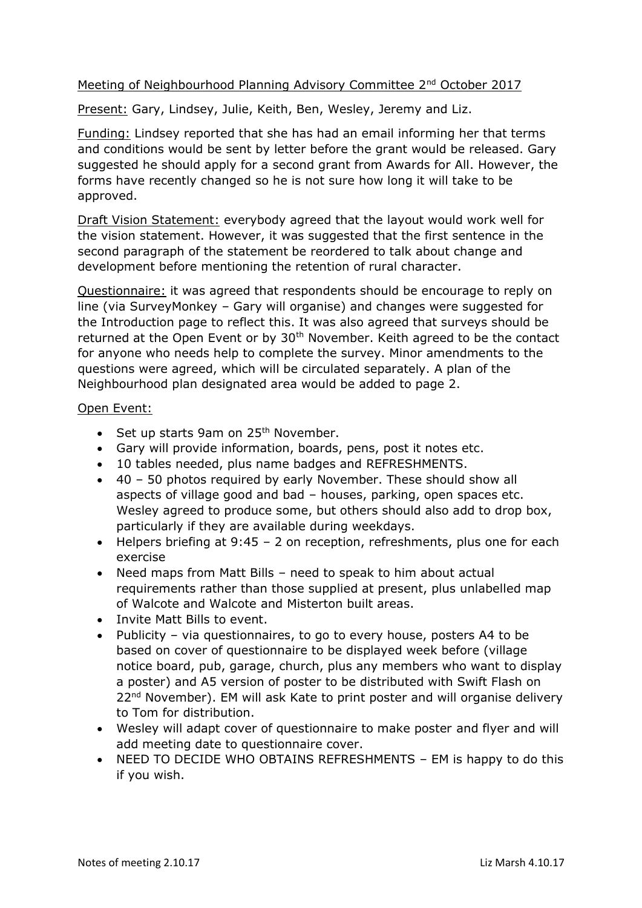## Meeting of Neighbourhood Planning Advisory Committee 2<sup>nd</sup> October 2017

Present: Gary, Lindsey, Julie, Keith, Ben, Wesley, Jeremy and Liz.

Funding: Lindsey reported that she has had an email informing her that terms and conditions would be sent by letter before the grant would be released. Gary suggested he should apply for a second grant from Awards for All. However, the forms have recently changed so he is not sure how long it will take to be approved.

Draft Vision Statement: everybody agreed that the layout would work well for the vision statement. However, it was suggested that the first sentence in the second paragraph of the statement be reordered to talk about change and development before mentioning the retention of rural character.

Questionnaire: it was agreed that respondents should be encourage to reply on line (via SurveyMonkey – Gary will organise) and changes were suggested for the Introduction page to reflect this. It was also agreed that surveys should be returned at the Open Event or by 30<sup>th</sup> November. Keith agreed to be the contact for anyone who needs help to complete the survey. Minor amendments to the questions were agreed, which will be circulated separately. A plan of the Neighbourhood plan designated area would be added to page 2.

Open Event:

- Set up starts 9am on 25<sup>th</sup> November.
- Gary will provide information, boards, pens, post it notes etc.
- 10 tables needed, plus name badges and REFRESHMENTS.
- 40 50 photos required by early November. These should show all aspects of village good and bad – houses, parking, open spaces etc. Wesley agreed to produce some, but others should also add to drop box, particularly if they are available during weekdays.
- Helpers briefing at 9:45 2 on reception, refreshments, plus one for each exercise
- Need maps from Matt Bills need to speak to him about actual requirements rather than those supplied at present, plus unlabelled map of Walcote and Walcote and Misterton built areas.
- Invite Matt Bills to event.
- Publicity via questionnaires, to go to every house, posters A4 to be based on cover of questionnaire to be displayed week before (village notice board, pub, garage, church, plus any members who want to display a poster) and A5 version of poster to be distributed with Swift Flash on 22<sup>nd</sup> November). EM will ask Kate to print poster and will organise delivery to Tom for distribution.
- Wesley will adapt cover of questionnaire to make poster and flyer and will add meeting date to questionnaire cover.
- NEED TO DECIDE WHO OBTAINS REFRESHMENTS EM is happy to do this if you wish.